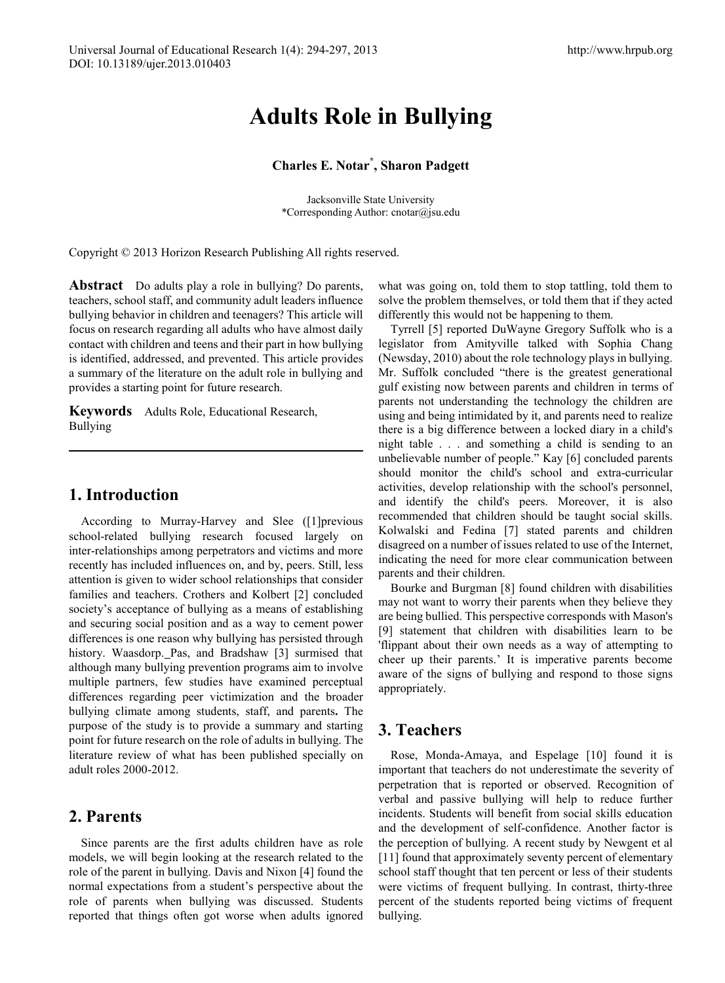# **Adults Role in Bullying**

#### **Charles E. Notar\* , Sharon Padgett**

Jacksonville State University \*Corresponding Author: cnotar@jsu.edu

Copyright © 2013 Horizon Research Publishing All rights reserved.

**Abstract** Do adults play a role in bullying? Do parents, teachers, school staff, and community adult leaders influence bullying behavior in children and teenagers? This article will focus on research regarding all adults who have almost daily contact with children and teens and their part in how bullying is identified, addressed, and prevented. This article provides a summary of the literature on the adult role in bullying and provides a starting point for future research.

**Keywords** Adults Role, Educational Research, Bullying

#### **1. Introduction**

According to Murray-Harvey and Slee ([1]previous school-related bullying research focused largely on inter-relationships among perpetrators and victims and more recently has included influences on, and by, peers. Still, less attention is given to wider school relationships that consider families and teachers. Crothers and Kolbert [2] concluded society's acceptance of bullying as a means of establishing and securing social position and as a way to cement power differences is one reason why bullying has persisted through history. Waasdorp. Pas, and Bradshaw [3] surmised that although many bullying prevention programs aim to involve multiple partners, few studies have examined perceptual differences regarding peer victimization and the broader bullying climate among students, staff, and parents**.** The purpose of the study is to provide a summary and starting point for future research on the role of adults in bullying. The literature review of what has been published specially on adult roles 2000-2012.

## **2. Parents**

Since parents are the first adults children have as role models, we will begin looking at the research related to the role of the parent in bullying. Davis and Nixon [4] found the normal expectations from a student's perspective about the role of parents when bullying was discussed. Students reported that things often got worse when adults ignored

what was going on, told them to stop tattling, told them to solve the problem themselves, or told them that if they acted differently this would not be happening to them.

Tyrrell [5] reported DuWayne Gregory Suffolk who is a legislator from Amityville talked with Sophia Chang (Newsday, 2010) about the role technology plays in bullying. Mr. Suffolk concluded "there is the greatest generational gulf existing now between parents and children in terms of parents not understanding the technology the children are using and being intimidated by it, and parents need to realize there is a big difference between a locked diary in a child's night table . . . and something a child is sending to an unbelievable number of people." Kay [6] concluded parents should monitor the child's school and extra-curricular activities, develop relationship with the school's personnel, and identify the child's peers. Moreover, it is also recommended that children should be taught social skills. Kolwalski and Fedina [7] stated parents and children disagreed on a number of issues related to use of the Internet, indicating the need for more clear communication between parents and their children.

Bourke and Burgman [8] found children with disabilities may not want to worry their parents when they believe they are being bullied. This perspective corresponds with Mason's [9] statement that children with disabilities learn to be 'flippant about their own needs as a way of attempting to cheer up their parents.' It is imperative parents become aware of the signs of bullying and respond to those signs appropriately.

## **3. Teachers**

Rose, Monda-Amaya, and Espelage [10] found it is important that teachers do not underestimate the severity of perpetration that is reported or observed. Recognition of verbal and passive bullying will help to reduce further incidents. Students will benefit from social skills education and the development of self-confidence. Another factor is the perception of bullying. A recent study by Newgent et al [11] found that approximately seventy percent of elementary school staff thought that ten percent or less of their students were victims of frequent bullying. In contrast, thirty-three percent of the students reported being victims of frequent bullying.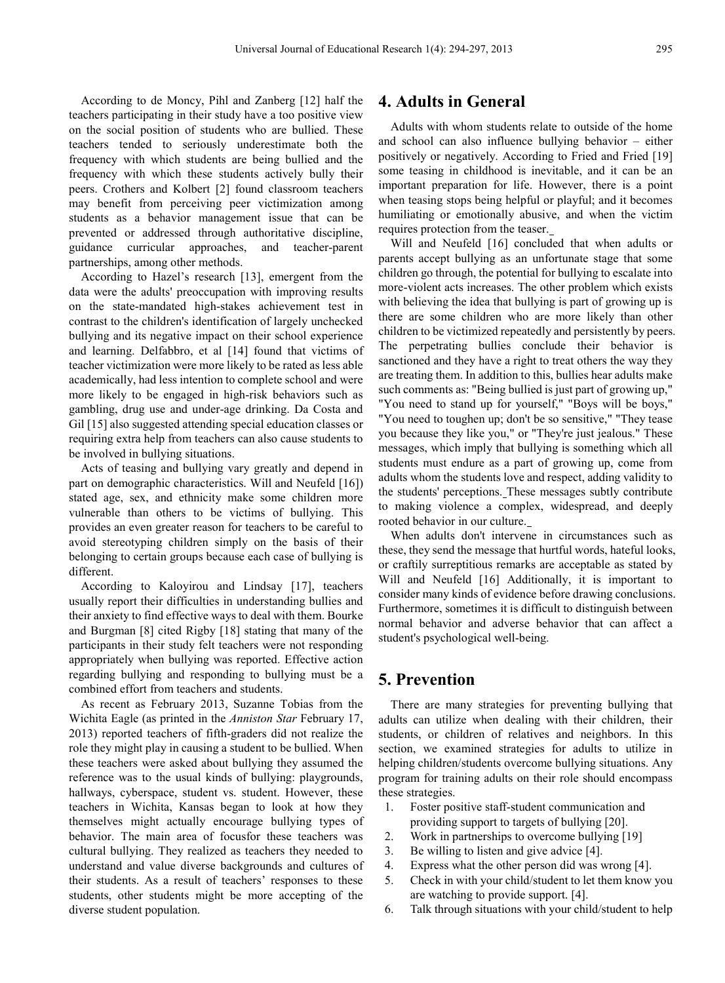According to de Moncy, Pihl and Zanberg [12] half the teachers participating in their study have a too positive view on the social position of students who are bullied. These teachers tended to seriously underestimate both the frequency with which students are being bullied and the frequency with which these students actively bully their peers. Crothers and Kolbert [2] found classroom teachers may benefit from perceiving peer victimization among students as a behavior management issue that can be prevented or addressed through authoritative discipline, guidance curricular approaches, and teacher-parent partnerships, among other methods.

According to Hazel's research [13], emergent from the data were the adults' preoccupation with improving results on the state-mandated high-stakes achievement test in contrast to the children's identification of largely unchecked bullying and its negative impact on their school experience and learning. Delfabbro, et al [14] found that victims of teacher victimization were more likely to be rated as less able academically, had less intention to complete school and were more likely to be engaged in high-risk behaviors such as gambling, drug use and under-age drinking. Da Costa and Gil [15] also suggested attending special education classes or requiring extra help from teachers can also cause students to be involved in bullying situations.

Acts of teasing and bullying vary greatly and depend in part on demographic characteristics. Will and Neufeld [16]) stated age, sex, and ethnicity make some children more vulnerable than others to be victims of bullying. This provides an even greater reason for teachers to be careful to avoid stereotyping children simply on the basis of their belonging to certain groups because each case of bullying is different.

According to Kaloyirou and Lindsay [17], teachers usually report their difficulties in understanding bullies and their anxiety to find effective ways to deal with them. Bourke and Burgman [8] cited Rigby [18] stating that many of the participants in their study felt teachers were not responding appropriately when bullying was reported. Effective action regarding bullying and responding to bullying must be a combined effort from teachers and students.

As recent as February 2013, Suzanne Tobias from the Wichita Eagle (as printed in the *Anniston Star* February 17, 2013) reported teachers of fifth-graders did not realize the role they might play in causing a student to be bullied. When these teachers were asked about bullying they assumed the reference was to the usual kinds of bullying: playgrounds, hallways, cyberspace, student vs. student. However, these teachers in Wichita, Kansas began to look at how they themselves might actually encourage bullying types of behavior. The main area of focusfor these teachers was cultural bullying. They realized as teachers they needed to understand and value diverse backgrounds and cultures of their students. As a result of teachers' responses to these students, other students might be more accepting of the diverse student population.

#### **4. Adults in General**

Adults with whom students relate to outside of the home and school can also influence bullying behavior – either positively or negatively. According to Fried and Fried [19] some teasing in childhood is inevitable, and it can be an important preparation for life. However, there is a point when teasing stops being helpful or playful; and it becomes humiliating or emotionally abusive, and when the victim requires protection from the teaser.

Will and Neufeld [16] concluded that when adults or parents accept bullying as an unfortunate stage that some children go through, the potential for bullying to escalate into more-violent acts increases. The other problem which exists with believing the idea that bullying is part of growing up is there are some children who are more likely than other children to be victimized repeatedly and persistently by peers. The perpetrating bullies conclude their behavior is sanctioned and they have a right to treat others the way they are treating them. In addition to this, bullies hear adults make such comments as: "Being bullied is just part of growing up," "You need to stand up for yourself," "Boys will be boys," "You need to toughen up; don't be so sensitive," "They tease you because they like you," or "They're just jealous." These messages, which imply that bullying is something which all students must endure as a part of growing up, come from adults whom the students love and respect, adding validity to the students' perceptions. These messages subtly contribute to making violence a complex, widespread, and deeply rooted behavior in our culture.

When adults don't intervene in circumstances such as these, they send the message that hurtful words, hateful looks, or craftily surreptitious remarks are acceptable as stated by Will and Neufeld [16] Additionally, it is important to consider many kinds of evidence before drawing conclusions. Furthermore, sometimes it is difficult to distinguish between normal behavior and adverse behavior that can affect a student's psychological well-being.

## **5. Prevention**

There are many strategies for preventing bullying that adults can utilize when dealing with their children, their students, or children of relatives and neighbors. In this section, we examined strategies for adults to utilize in helping children/students overcome bullying situations. Any program for training adults on their role should encompass these strategies.

- 1. Foster positive staff-student communication and providing support to targets of bullying [20].
- 2. Work in partnerships to overcome bullying [19]
- 3. Be willing to listen and give advice [4].
- 4. Express what the other person did was wrong [4].
- 5. Check in with your child/student to let them know you are watching to provide support. [4].
- 6. Talk through situations with your child/student to help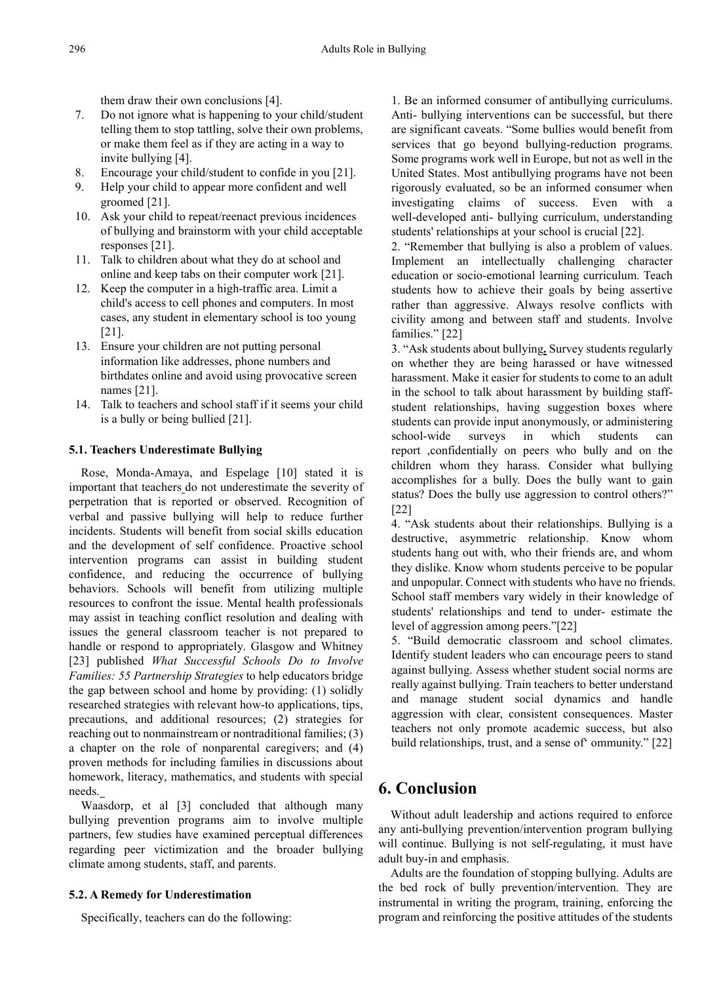them draw their own conclusions [4].

- 7. Do not ignore what is happening to your child/student telling them to stop tattling, solve their own problems, or make them feel as if they are acting in a way to invite bullying [4].
- 8. Encourage your child/student to confide in you [21].
- 9. Help your child to appear more confident and well groomed [21].
- 10. Ask your child to repeat/reenact previous incidences of bullying and brainstorm with your child acceptable responses [21].
- 11. Talk to children about what they do at school and online and keep tabs on their computer work [21].
- 12. Keep the computer in a high-traffic area. Limit a child's access to cell phones and computers. In most cases, any student in elementary school is too young [21].
- 13. Ensure your children are not putting personal information like addresses, phone numbers and birthdates online and avoid using provocative screen names [21].
- 14. Talk to teachers and school staff if it seems your child is a bully or being bullied [21].

#### **5.1. Teachers Underestimate Bullying**

Rose, Monda-Amaya, and Espelage [10] stated it is important that teachers do not underestimate the severity of perpetration that is reported or observed. Recognition of verbal and passive bullying will help to reduce further incidents. Students will benefit from social skills education and the development of self confidence. Proactive school intervention programs can assist in building student confidence, and reducing the occurrence of bullying behaviors. Schools will benefit from utilizing multiple resources to confront the issue. Mental health professionals may assist in teaching conflict resolution and dealing with issues the general classroom teacher is not prepared to handle or respond to appropriately. Glasgow and Whitney [23] published *What Successful Schools Do to Involve Families: 55 Partnership Strategies* to help educators bridge the gap between school and home by providing: (1) solidly researched strategies with relevant how-to applications, tips, precautions, and additional resources; (2) strategies for reaching out to nonmainstream or nontraditional families; (3) a chapter on the role of nonparental caregivers; and (4) proven methods for including families in discussions about homework, literacy, mathematics, and students with special needs.

Waasdorp, et al [3] concluded that although many bullying prevention programs aim to involve multiple partners, few studies have examined perceptual differences regarding peer victimization and the broader bullying climate among students, staff, and parents.

#### **5.2. A Remedy for Underestimation**

Specifically, teachers can do the following:

1. Be an informed consumer of antibullying curriculums. Anti- bullying interventions can be successful, but there are significant caveats. "Some bullies would benefit from services that go beyond bullying-reduction programs. Some programs work well in Europe, but not as well in the United States. Most antibullying programs have not been rigorously evaluated, so be an informed consumer when investigating claims of success. Even with a well-developed anti- bullying curriculum, understanding students' relationships at your school is crucial [22].

2. "Remember that bullying is also a problem of values. Implement an intellectually challenging character education or socio-emotional learning curriculum. Teach students how to achieve their goals by being assertive rather than aggressive. Always resolve conflicts with civility among and between staff and students. Involve families." [22]

3. "Ask students about bullying**.** Survey students regularly on whether they are being harassed or have witnessed harassment. Make it easier for students to come to an adult in the school to talk about harassment by building staffstudent relationships, having suggestion boxes where students can provide input anonymously, or administering school-wide surveys in which students can report ,confidentially on peers who bully and on the children whom they harass. Consider what bullying accomplishes for a bully. Does the bully want to gain status? Does the bully use aggression to control others?" [22]

4. "Ask students about their relationships. Bullying is a destructive, asymmetric relationship. Know whom students hang out with, who their friends are, and whom they dislike. Know whom students perceive to be popular and unpopular. Connect with students who have no friends. School staff members vary widely in their knowledge of students' relationships and tend to under- estimate the level of aggression among peers."[22]

5. "Build democratic classroom and school climates. Identify student leaders who can encourage peers to stand against bullying. Assess whether student social norms are really against bullying. Train teachers to better understand and manage student social dynamics and handle aggression with clear, consistent consequences. Master teachers not only promote academic success, but also build relationships, trust, and a sense of' ommunity." [22]

# **6. Conclusion**

Without adult leadership and actions required to enforce any anti-bullying prevention/intervention program bullying will continue. Bullying is not self-regulating, it must have adult buy-in and emphasis.

Adults are the foundation of stopping bullying. Adults are the bed rock of bully prevention/intervention. They are instrumental in writing the program, training, enforcing the program and reinforcing the positive attitudes of the students